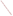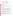# **Technical Factsheet on: ASBESTOS**

# [List of Contaminants](http://www.epa.gov/safewater/hfacts.html)

# As part of the Drinking Water and Health pages, this fact sheet is part of a larger publication: **National Primary Drinking Water Regulations**

# **Drinking Water Standards**

MCLG: 7 million fibers per liter (MFL) (fibers > 10 microns in length) MCL: 7 million fibers per liter (MFL) HAL(child): none

# **Health Effects Summary**

 Acute: No reliable data are available on the acute toxic effects from short-term exposures to asbestos. No Health Advisories have been established for short-term exposures.

MCL. Chronic: Asbestos has the potential to cause lung disease from a lifetime exposure at levels above the

MCL.<br>Cancer: Asbestos has the potential to cause cancer of the lung and other internal organs from a lifetime exposure at levels above the MCL.

# **Usage Patterns**

paper, 6%; and other 13%. Because asbestos fibers are resistant to heat and most chemicals, they have been mined for use in a variety of products (over 3,000 different products in the United States). In 1988, asbestos was consumed in roofing products, 28%; friction products, 26%; asbestos cement pipe, 14%; packing and gaskets, 13%;

Pipe products find use in water supply, sewage disposal, & irrigation systems. Asbestos cement sheets are used in a wide variety of construction applications. Other uses of asbestos include fire resistant textiles, friction materials (ie, brake linings), underlayment & roofing papers, & floor tiles.

 Crocidolite can be spun & woven using modified cotton industry machinery; the asbestos cloth is used for fireproof clothing & curtains.

 Most uses of asbestos were banned in the United States by the EPA on July 12, 1989 because of potential adverse health effects in exposed persons. The remaining, currently allowed uses of asbestos include battery separators, sealant tape, asbestos thread, packing materials, and certain industrial uses of both sheet gaskets and beater-add gaskets.

# **Release Patterns**

 ores, but the primary source of asbestos in the environment is through the wear or breakdown of asbestos-containing materials. Asbestos fibers have been released into water by the dumping of mining tailings into lakes, by the runoff of process and air scrubber water into lakes and streams, and by the use Asbestos fibers may enter the environment from natural sources such as erosion of asbestos-containing of asbestos cement pipes in water supply systems.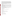released to the environment from asbestos processing, including milling, manufacturing, and fabrication. Over one million tons of asbestos is contained in friable materials in ships, buildings, power plants, chemical plants, refineries, and other locations of high temperature equipment. Other products may include insulation, automobile brakes, cement pipes, and roofing materials. The maintenance, repair, and removal of this material will account for the principal releases in the future. Asbestos fibers also can be

 From 1987 to 1993, according to the Toxics Release Inventory, asbestos releases to land totalled nearly 9 million lbs., and releases to water totalled nearly 33,000 lbs. These releases were primarily from asbestos products industries which use asbestos in roofing materials friction materials, and cement. The largest releases occurred in Pennsylvania and Louisiana.

# **Environmental Fate**

 As a naturally occurring substance, asbestos can be present in surface and ground water. Because particles tend to settle more quickly. asbestos fibers in water do not evaporate into air or break down in water, small fibers and fiber-containing particles may be carried long distances by water currents before settling to the bottom; larger fibers and

particles tend to settle more quickly.<br>Asbestos does not tend to adsorb to solids normally found in natural water systems, but some materials (trace metals and organic compounds) have an affinity for asbestos minerals. The fibers are not able to move down through soil to ground water.

 Asbestos is not affected by photolytic processes and is considered to be non-biodegradable by aquatic organisms. Asbestos fibers are not broken down to other compounds in the environment and, therefore, can remain in the environment for decades or longer.

There are no data regarding the bioaccumulation of asbestos in aquatic organisms.

# **Chemical/Physical Properties**

CAS Number: 1332-21-4

Color/ Form/Odor: White, gray, green or brown crystalline fibers; odorless

Solubilities: insoluble

Soil sorption coefficient: N/A

Common Ores: Amosite, Chrysotile, Crocidiolite; Tremolite; Ascarite Soil sorption coefficient: N/A<br>Bioconcentration Factor: N/A; not expected to bioconcentrate<br>Common Ores: Amosite, Chrysotile, Crocidiolite; Tremolite; Ascarite

# **Other Regulatory Information**

Monitoring:

-- For Ground and Surface Water Sources:

Initial Frequency-1 sample once every 9 years

Repeat Frequency-1 sample once every 9 years